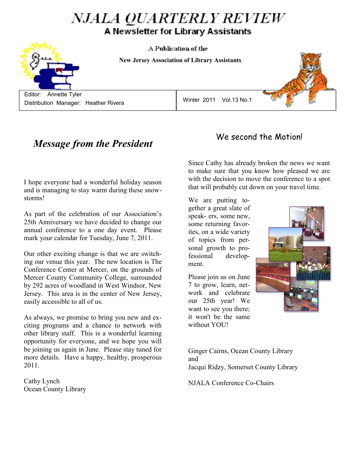# *NJALA QUARTERLY REVIEW* A Newsletter for Library Assistants

A Publication of the

 **NEW JERSEY ASSOCIATION OF LIBRARY ASSISTANTS New Jersey Association of Library Assistants**

 Editor: Annette Tyler Distribution Manager: Heather Rivera

Winter 2011 Vol.13 No.1

## *Message from the President*

I hope everyone had a wonderful holiday season and is managing to stay warm during these snowstorms!

As part of the celebration of our Association's 25th Anniversary we have decided to change our annual conference to a one day event. Please mark your calendar for Tuesday, June 7, 2011.

Our other exciting change is that we are switching our venue this year. The new location is The Conference Center at Mercer, on the grounds of Mercer County Community College, surrounded by 292 acres of woodland in West Windsor, New Jersey. This area is in the center of New Jersey, easily accessible to all of us.

As always, we promise to bring you new and exciting programs and a chance to network with other library staff. This is a wonderful learning opportunity for everyone, and we hope you will be joining us again in June. Please stay tuned for more details. Have a happy, healthy, prosperous 2011.

Cathy Lynch Ocean County Library

## We second the Motion!

Since Cathy has already broken the news we want to make sure that you know how pleased we are with the decision to move the conference to a spot that will probably cut down on your travel time.

We are putting together a great slate of speak- ers, some new, some returning favorites, on a wide variety of topics from personal growth to professional development.

Please join us on June 7 to grow, learn, network and celebrate our 25th year! We want to see you there; it won't be the same without YOU!

tim

Ginger Cairns, Ocean County Library and Jacqui Ridzy, Somerset County Library

NJALA Conference Co-Chairs

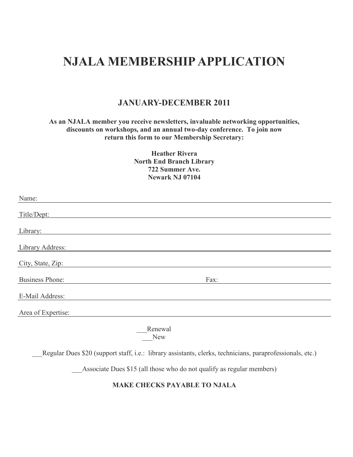# **NJALA MEMBERSHIP APPLICATION**

### **JANUARY-DECEMBER 2011**

### **As an NJALA member you receive newsletters, invaluable networking opportunities, discounts on workshops, and an annual two-day conference. To join now return this form to our Membership Secretary:**

**Heather Rivera North End Branch Library 722 Summer Ave. Newark NJ 07104**

| Name:                  |                                                                                                           |
|------------------------|-----------------------------------------------------------------------------------------------------------|
| Title/Dept:            |                                                                                                           |
| Library:               |                                                                                                           |
| Library Address:       |                                                                                                           |
| City, State, Zip:      |                                                                                                           |
| <b>Business Phone:</b> | Fax:                                                                                                      |
| E-Mail Address:        |                                                                                                           |
| Area of Expertise:     |                                                                                                           |
|                        | Renewal<br><b>New</b>                                                                                     |
|                        | Regular Dues \$20 (support staff, i.e.: library assistants, clerks, technicians, paraprofessionals, etc.) |

Associate Dues \$15 (all those who do not qualify as regular members)

### **MAKE CHECKS PAYABLE TO NJALA**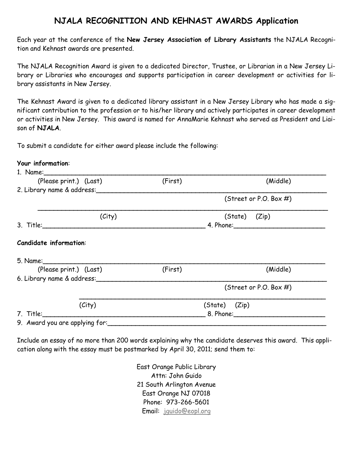### **NJALA RECOGNITION AND KEHNAST AWARDS Application**

Each year at the conference of the **New Jersey Association of Library Assistants** the NJALA Recognition and Kehnast awards are presented.

The NJALA Recognition Award is given to a dedicated Director, Trustee, or Librarian in a New Jersey Library or Libraries who encourages and supports participation in career development or activities for library assistants in New Jersey.

The Kehnast Award is given to a dedicated library assistant in a New Jersey Library who has made a significant contribution to the profession or to his/her library and actively participates in career development or activities in New Jersey. This award is named for AnnaMarie Kehnast who served as President and Liaison of **NJALA**.

To submit a candidate for either award please include the following:

### **Your information**:

| (Please print.) (Last)                 | (First) | (Middle)                       |
|----------------------------------------|---------|--------------------------------|
| 2. Library name & address:             |         |                                |
|                                        |         | (Street or P.O. Box $#$ )      |
| (City)                                 |         | (State) (Zip)                  |
|                                        |         |                                |
| <b>Candidate information:</b>          |         |                                |
| (Please print.) (Last)                 | (First) | (Middle)                       |
| 6. Library name & address:             |         |                                |
|                                        |         | (Street or P.O. Box $#$ )      |
| (City)                                 |         | (State) (Zip)                  |
| 7. Title: <u>_____________________</u> |         | 8. Phone: Electronic Section 1 |
| 9. Award you are applying for:         |         |                                |

Include an essay of no more than 200 words explaining why the candidate deserves this award. This application along with the essay must be postmarked by April 30, 2011; send them to:

> East Orange Public Library Attn: John Guido 21 South Arlington Avenue East Orange NJ 07018 Phone: 973-266-5601 Email: [jguido@eopl.org](mailto:jguido@eopl.org)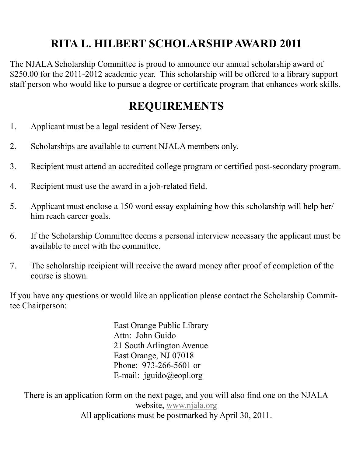# **RITA L. HILBERT SCHOLARSHIP AWARD 2011**

The NJALA Scholarship Committee is proud to announce our annual scholarship award of \$250.00 for the 2011-2012 academic year. This scholarship will be offered to a library support staff person who would like to pursue a degree or certificate program that enhances work skills.

## **REQUIREMENTS**

- 1. Applicant must be a legal resident of New Jersey.
- 2. Scholarships are available to current NJALA members only.
- 3. Recipient must attend an accredited college program or certified post-secondary program.
- 4. Recipient must use the award in a job-related field.
- 5. Applicant must enclose a 150 word essay explaining how this scholarship will help her/ him reach career goals.
- 6. If the Scholarship Committee deems a personal interview necessary the applicant must be available to meet with the committee.
- 7. The scholarship recipient will receive the award money after proof of completion of the course is shown.

If you have any questions or would like an application please contact the Scholarship Committee Chairperson:

> East Orange Public Library Attn: John Guido 21 South Arlington Avenue East Orange, NJ 07018 Phone: 973-266-5601 or E-mail: jguido@eopl.org

There is an application form on the next page, and you will also find one on the NJALA website, [www.njala.org](http://www.njala.org) All applications must be postmarked by April 30, 2011.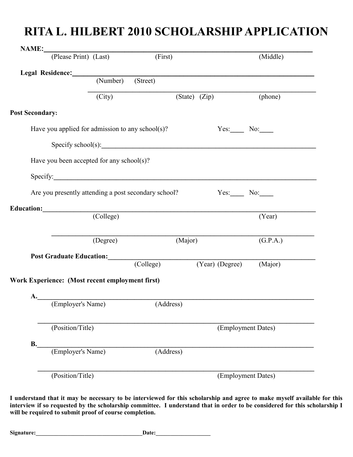# **RITA L. HILBERT 2010 SCHOLARSHIP APPLICATION**

|                        | NAME: (Please Print) (Last)                          | (First)   |                   |                   | (Middle)           |
|------------------------|------------------------------------------------------|-----------|-------------------|-------------------|--------------------|
|                        | Legal Residence: (Number)                            |           |                   |                   |                    |
|                        |                                                      | (Street)  |                   |                   |                    |
|                        | (City)                                               |           | (State) (Zip)     |                   | (phone)            |
| <b>Post Secondary:</b> |                                                      |           |                   |                   |                    |
|                        | Have you applied for admission to any school(s)?     |           |                   |                   | $Yes.$ No: $\_\_$  |
|                        | $\text{Specificity school}(s):$                      |           |                   |                   |                    |
|                        | Have you been accepted for any school(s)?            |           |                   |                   |                    |
|                        | Specify:                                             |           |                   |                   |                    |
|                        | Are you presently attending a post secondary school? |           | $Yes:$ No: $\_\_$ |                   |                    |
|                        |                                                      |           |                   |                   |                    |
|                        | Education: (College)                                 |           |                   |                   | (Year)             |
|                        | (Degree)                                             |           | (Major)           |                   | (G.P.A.)           |
|                        |                                                      |           |                   |                   |                    |
|                        | Post Graduate Education: (College)                   |           |                   | $(Year)$ (Degree) | (Major)            |
|                        | Work Experience: (Most recent employment first)      |           |                   |                   |                    |
|                        |                                                      |           |                   |                   |                    |
|                        |                                                      |           |                   |                   |                    |
|                        | A. (Employer's Name) (Address)                       |           |                   |                   |                    |
| (Position/Title)       |                                                      |           |                   |                   | (Employment Dates) |
|                        |                                                      |           |                   |                   |                    |
| <b>B.</b>              | (Employer's Name)                                    | (Address) |                   |                   |                    |

**I understand that it may be necessary to be interviewed for this scholarship and agree to make myself available for this interview if so requested by the scholarship committee. I understand that in order to be considered for this scholarship I will be required to submit proof of course completion.**

**Signature:** <u>Date:</u>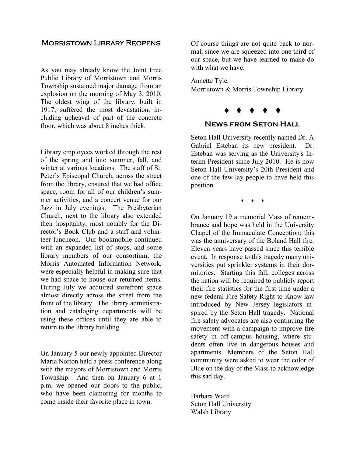### Morristown Library Reopens

As you may already know the Joint Free Public Library of Morristown and Morris Township sustained major damage from an explosion on the morning of May 3, 2010. The oldest wing of the library, built in 1917, suffered the most devastation, including upheaval of part of the concrete floor, which was about 8 inches thick.

Library employees worked through the rest of the spring and into summer, fall, and winter at various locations. The staff of St. Peter's Episcopal Church, across the street from the library, ensured that we had office space, room for all of our children's summer activities, and a concert venue for our Jazz in July evenings. The Presbyterian Church, next to the library also extended their hospitality, most notably for the Director's Book Club and a staff and volunteer luncheon. Our bookmobile continued with an expanded list of stops, and some library members of our consortium, the Morris Automated Information Network, were especially helpful in making sure that we had space to house our returned items. During July we acquired storefront space almost directly across the street from the front of the library. The library administration and cataloging departments will be using these offices until they are able to return to the library building.

On January 5 our newly appointed Director Maria Norton held a press conference along with the mayors of Morristown and Morris Township. And then on January 6 at 1 p.m. we opened our doors to the public, who have been clamoring for months to come inside their favorite place in town.

Of course things are not quite back to normal, since we are squeezed into one third of our space, but we have learned to make do with what we have.

Annette Tyler Morristown & Morris Township Library



### **News from Seton Hall**

Seton Hall University recently named Dr. A Gabriel Esteban its new president. Dr. Esteban was serving as the University's Interim President since July 2010. He is now Seton Hall University's 20th President and one of the few lay people to have held this position.

 $\bullet$   $\bullet$   $\bullet$ 

On January 19 a memorial Mass of remembrance and hope was held in the University Chapel of the Immaculate Conception; this was the anniversary of the Boland Hall fire. Eleven years have passed since this terrible event. In response to this tragedy many universities put sprinkler systems in their dormitories. Starting this fall, colleges across the nation will be required to publicly report their fire statistics for the first time under a new federal Fire Safety Right-to-Know law introduced by New Jersey legislators inspired by the Seton Hall tragedy. National fire safety advocates are also continuing the movement with a campaign to improve fire safety in off-campus housing, where students often live in dangerous houses and apartments. Members of the Seton Hall community were asked to wear the color of Blue on the day of the Mass to acknowledge this sad day.

Barbara Ward Seton Hall University Walsh Library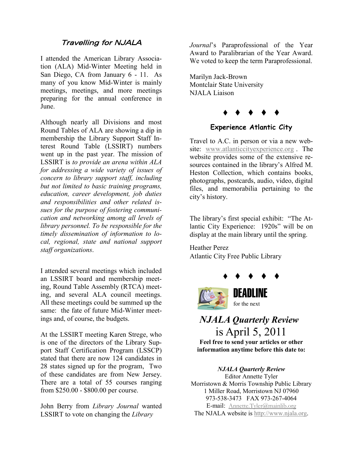### Travelling for NJALA

I attended the American Library Association (ALA) Mid-Winter Meeting held in San Diego, CA from January 6 - 11. As many of you know Mid-Winter is mainly meetings, meetings, and more meetings preparing for the annual conference in June.

Although nearly all Divisions and most Round Tables of ALA are showing a dip in membership the Library Support Staff Interest Round Table (LSSIRT) numbers went up in the past year. The mission of LSSIRT is *to provide an arena within ALA for addressing a wide variety of issues of concern to library support staff, including but not limited to basic training programs, education, career development, job duties and responsibilities and other related issues for the purpose of fostering communication and networking among all levels of library personnel. To be responsible for the timely dissemination of information to local, regional, state and national support staff organizations*.

I attended several meetings which included an LSSIRT board and membership meeting, Round Table Assembly (RTCA) meeting, and several ALA council meetings. All these meetings could be summed up the same: the fate of future Mid-Winter meetings and, of course, the budgets.

At the LSSIRT meeting Karen Strege, who is one of the directors of the Library Support Staff Certification Program (LSSCP) stated that there are now 124 candidates in 28 states signed up for the program, Two of these candidates are from New Jersey. There are a total of 55 courses ranging from \$250.00 - \$800.00 per course.

John Berry from *Library Journal* wanted LSSIRT to vote on changing the *Library* 

*Journal*'s Paraprofessional of the Year Award to Paralibrarian of the Year Award. We voted to keep the term Paraprofessional.

Marilyn Jack-Brown Montclair State University NJALA Liaison



### **Experience Atlantic City**

Travel to A.C. in person or via a new website: [www.atlanticcityexperience.org](http://www.atlanticcityexperience.org) . The website provides some of the extensive resources contained in the library's Alfred M. Heston Collection, which contains books, photographs, postcards, audio, video, digital files, and memorabilia pertaining to the city's history.

The library's first special exhibit: "The Atlantic City Experience: 1920s" will be on display at the main library until the spring.

Heather Perez Atlantic City Free Public Library



## *NJALA Quarterly Review* is April 5, 2011

**Feel free to send your articles or other information anytime before this date to:**

*NJALA Quarterly Review* Editor Annette Tyler Morristown & Morris Township Public Library 1 Miller Road, Morristown NJ 07960 973-538-3473 FAX 973-267-4064 E-mail: [Annette.Tyler@mainlib.org](mailto:Annette.Tyler@mainlib.org) The NJALA website is <http://www.njala.org>.